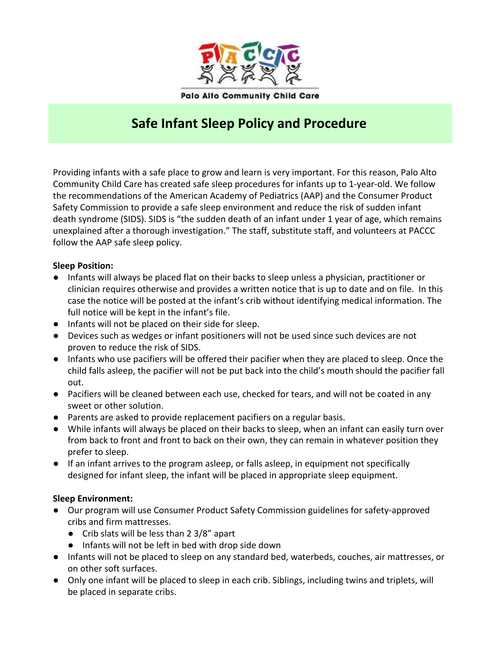

# **Safe Infant Sleep Policy and Procedure**

Providing infants with a safe place to grow and learn is very important. For this reason, Palo Alto Community Child Care has created safe sleep procedures for infants up to 1-year-old. We follow the recommendations of the American Academy of Pediatrics (AAP) and the Consumer Product Safety Commission to provide a safe sleep environment and reduce the risk of sudden infant death syndrome (SIDS). SIDS is "the sudden death of an infant under 1 year of age, which remains unexplained after a thorough investigation." The staff, substitute staff, and volunteers at PACCC follow the AAP safe sleep policy.

#### **Sleep Position:**

- Infants will always be placed flat on their backs to sleep unless a physician, practitioner or clinician requires otherwise and provides a written notice that is up to date and on file. In this case the notice will be posted at the infant's crib without identifying medical information. The full notice will be kept in the infant's file.
- Infants will not be placed on their side for sleep.
- Devices such as wedges or infant positioners will not be used since such devices are not proven to reduce the risk of SIDS.
- Infants who use pacifiers will be offered their pacifier when they are placed to sleep. Once the child falls asleep, the pacifier will not be put back into the child's mouth should the pacifier fall out.
- Pacifiers will be cleaned between each use, checked for tears, and will not be coated in any sweet or other solution.
- Parents are asked to provide replacement pacifiers on a regular basis.
- While infants will always be placed on their backs to sleep, when an infant can easily turn over from back to front and front to back on their own, they can remain in whatever position they prefer to sleep.
- If an infant arrives to the program asleep, or falls asleep, in equipment not specifically designed for infant sleep, the infant will be placed in appropriate sleep equipment.

#### **Sleep Environment:**

- Our program will use Consumer Product Safety Commission guidelines for safety-approved cribs and firm mattresses.
	- Crib slats will be less than 2 3/8" apart
	- Infants will not be left in bed with drop side down
- Infants will not be placed to sleep on any standard bed, waterbeds, couches, air mattresses, or on other soft surfaces.
- Only one infant will be placed to sleep in each crib. Siblings, including twins and triplets, will be placed in separate cribs.